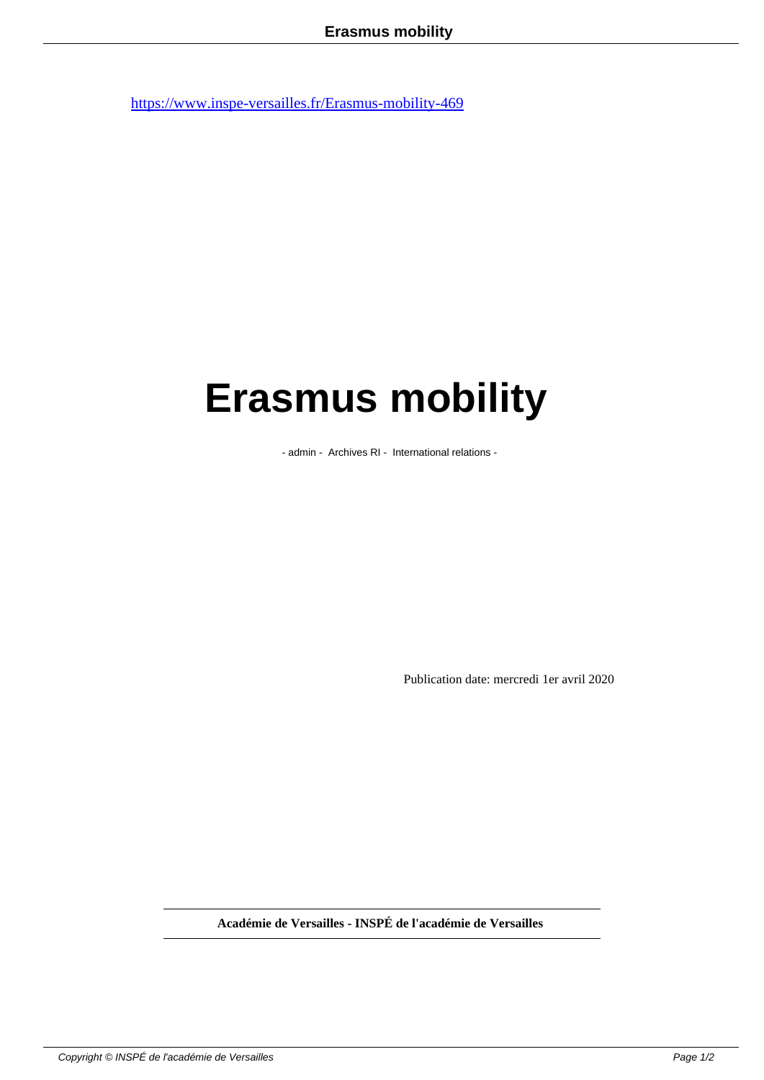## **Erasmus mobility**

- admin - Archives RI - International relations -

Publication date: mercredi 1er avril 2020

**Académie de Versailles - INSPÉ de l'académie de Versailles**